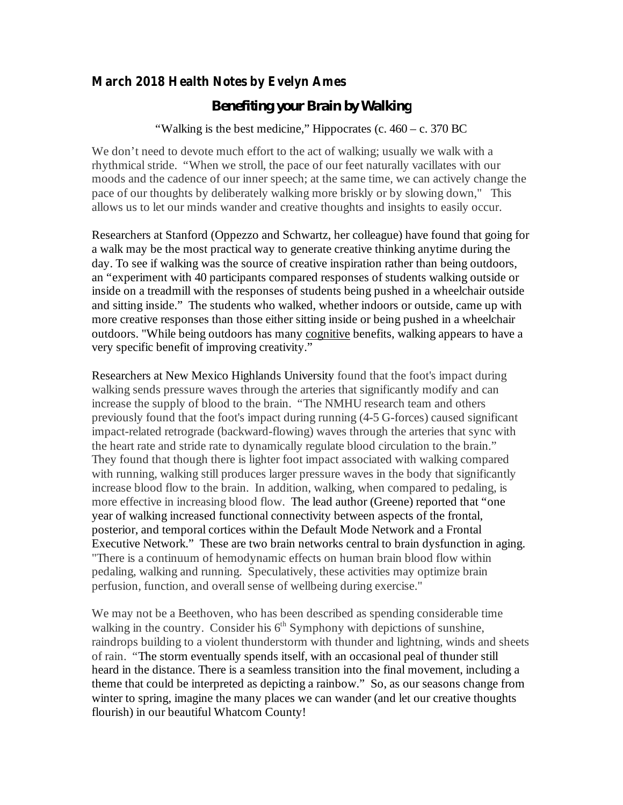## **March 2018 Health Notes by Evelyn Ames**

## *Benefiting your Brain by Walking*

"Walking is the best medicine," Hippocrates (c.  $460 - c$ . 370 BC

We don't need to devote much effort to the act of walking; usually we walk with a rhythmical stride. "When we stroll, the pace of our feet naturally vacillates with our moods and the cadence of our inner speech; at the same time, we can actively change the pace of our thoughts by deliberately walking more briskly or by slowing down," This allows us to let our minds wander and creative thoughts and insights to easily occur.

Researchers at Stanford (Oppezzo and Schwartz, her colleague) have found that going for a walk may be the most practical way to generate creative thinking anytime during the day. To see if walking was the source of creative inspiration rather than being outdoors, an "experiment with 40 participants compared responses of students walking outside or inside on a treadmill with the responses of students being pushed in a wheelchair outside and sitting inside." The students who walked, whether indoors or outside, came up with more creative responses than those either sitting inside or being pushed in a wheelchair outdoors. "While being outdoors has many cognitive benefits, walking appears to have a very specific benefit of improving creativity."

Researchers at New Mexico Highlands University found that the foot's impact during walking sends pressure waves through the arteries that significantly modify and can increase the supply of blood to the brain. "The NMHU research team and others previously found that the foot's impact during running (4-5 G-forces) caused significant impact-related retrograde (backward-flowing) waves through the arteries that sync with the heart rate and stride rate to dynamically regulate blood circulation to the brain." They found that though there is lighter foot impact associated with walking compared with running, walking still produces larger pressure waves in the body that significantly increase blood flow to the brain. In addition, walking, when compared to pedaling, is more effective in increasing blood flow. The lead author (Greene) reported that "one year of walking increased functional connectivity between aspects of the frontal, posterior, and temporal cortices within the Default Mode Network and a Frontal Executive Network." These are two brain networks central to brain dysfunction in aging. "There is a continuum of hemodynamic effects on human brain blood flow within pedaling, walking and running. Speculatively, these activities may optimize brain perfusion, function, and overall sense of wellbeing during exercise."

We may not be a Beethoven, who has been described as spending considerable time walking in the country. Consider his  $6<sup>th</sup>$  Symphony with depictions of sunshine, raindrops building to a violent thunderstorm with thunder and lightning, winds and sheets of rain. "The storm eventually spends itself, with an occasional peal of thunder still heard in the distance. There is a seamless transition into the final movement, including a theme that could be interpreted as depicting a rainbow." So, as our seasons change from winter to spring, imagine the many places we can wander (and let our creative thoughts flourish) in our beautiful Whatcom County!